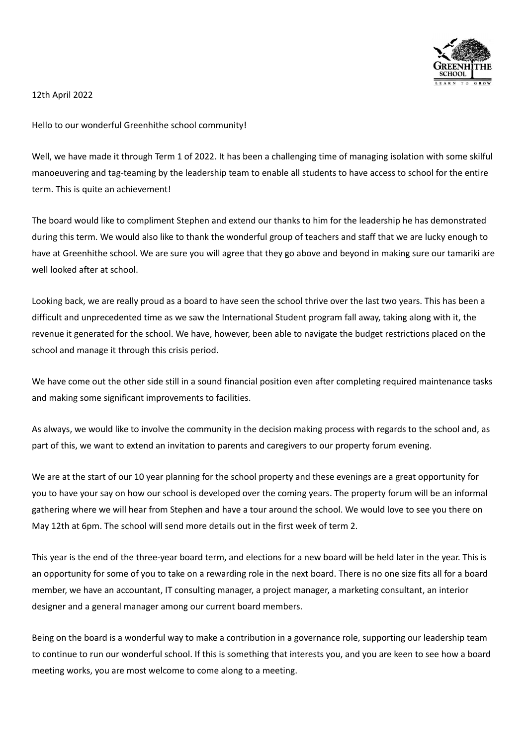

12th April 2022

Hello to our wonderful Greenhithe school community!

Well, we have made it through Term 1 of 2022. It has been a challenging time of managing isolation with some skilful manoeuvering and tag-teaming by the leadership team to enable all students to have access to school for the entire term. This is quite an achievement!

The board would like to compliment Stephen and extend our thanks to him for the leadership he has demonstrated during this term. We would also like to thank the wonderful group of teachers and staff that we are lucky enough to have at Greenhithe school. We are sure you will agree that they go above and beyond in making sure our tamariki are well looked after at school.

Looking back, we are really proud as a board to have seen the school thrive over the last two years. This has been a difficult and unprecedented time as we saw the International Student program fall away, taking along with it, the revenue it generated for the school. We have, however, been able to navigate the budget restrictions placed on the school and manage it through this crisis period.

We have come out the other side still in a sound financial position even after completing required maintenance tasks and making some significant improvements to facilities.

As always, we would like to involve the community in the decision making process with regards to the school and, as part of this, we want to extend an invitation to parents and caregivers to our property forum evening.

We are at the start of our 10 year planning for the school property and these evenings are a great opportunity for you to have your say on how our school is developed over the coming years. The property forum will be an informal gathering where we will hear from Stephen and have a tour around the school. We would love to see you there on May 12th at 6pm. The school will send more details out in the first week of term 2.

This year is the end of the three-year board term, and elections for a new board will be held later in the year. This is an opportunity for some of you to take on a rewarding role in the next board. There is no one size fits all for a board member, we have an accountant, IT consulting manager, a project manager, a marketing consultant, an interior designer and a general manager among our current board members.

Being on the board is a wonderful way to make a contribution in a governance role, supporting our leadership team to continue to run our wonderful school. If this is something that interests you, and you are keen to see how a board meeting works, you are most welcome to come along to a meeting.